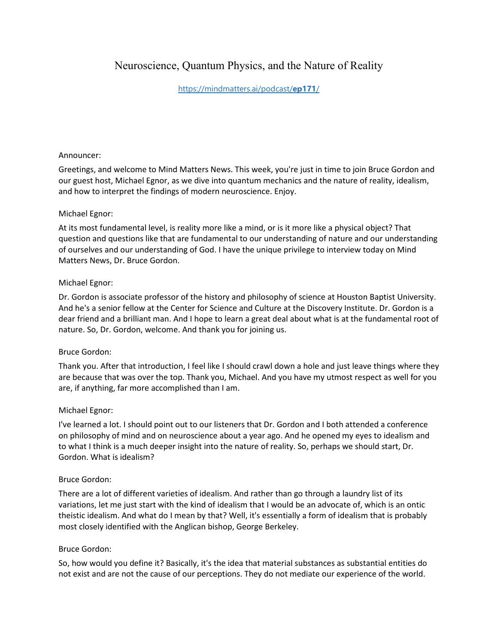# Neuroscience, Quantum Physics, and the Nature of Reality

### [https://mindmatters.ai/podcast/](https://mindmatters.ai/podcast/ep171/)**ep171**/

#### Announcer:

Greetings, and welcome to Mind Matters News. This week, you're just in time to join Bruce Gordon and our guest host, Michael Egnor, as we dive into quantum mechanics and the nature of reality, idealism, and how to interpret the findings of modern neuroscience. Enjoy.

#### Michael Egnor:

At its most fundamental level, is reality more like a mind, or is it more like a physical object? That question and questions like that are fundamental to our understanding of nature and our understanding of ourselves and our understanding of God. I have the unique privilege to interview today on Mind Matters News, Dr. Bruce Gordon.

#### Michael Egnor:

Dr. Gordon is associate professor of the history and philosophy of science at Houston Baptist University. And he's a senior fellow at the Center for Science and Culture at the Discovery Institute. Dr. Gordon is a dear friend and a brilliant man. And I hope to learn a great deal about what is at the fundamental root of nature. So, Dr. Gordon, welcome. And thank you for joining us.

### Bruce Gordon:

Thank you. After that introduction, I feel like I should crawl down a hole and just leave things where they are because that was over the top. Thank you, Michael. And you have my utmost respect as well for you are, if anything, far more accomplished than I am.

### Michael Egnor:

I've learned a lot. I should point out to our listeners that Dr. Gordon and I both attended a conference on philosophy of mind and on neuroscience about a year ago. And he opened my eyes to idealism and to what I think is a much deeper insight into the nature of reality. So, perhaps we should start, Dr. Gordon. What is idealism?

#### Bruce Gordon:

There are a lot of different varieties of idealism. And rather than go through a laundry list of its variations, let me just start with the kind of idealism that I would be an advocate of, which is an ontic theistic idealism. And what do I mean by that? Well, it's essentially a form of idealism that is probably most closely identified with the Anglican bishop, George Berkeley.

#### Bruce Gordon:

So, how would you define it? Basically, it's the idea that material substances as substantial entities do not exist and are not the cause of our perceptions. They do not mediate our experience of the world.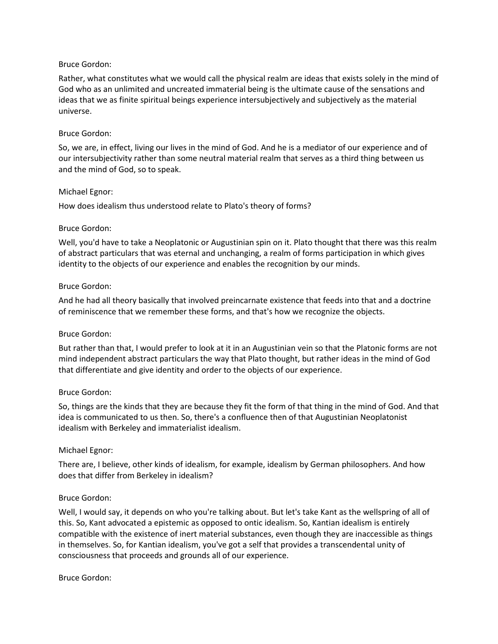Rather, what constitutes what we would call the physical realm are ideas that exists solely in the mind of God who as an unlimited and uncreated immaterial being is the ultimate cause of the sensations and ideas that we as finite spiritual beings experience intersubjectively and subjectively as the material universe.

#### Bruce Gordon:

So, we are, in effect, living our lives in the mind of God. And he is a mediator of our experience and of our intersubjectivity rather than some neutral material realm that serves as a third thing between us and the mind of God, so to speak.

#### Michael Egnor:

How does idealism thus understood relate to Plato's theory of forms?

#### Bruce Gordon:

Well, you'd have to take a Neoplatonic or Augustinian spin on it. Plato thought that there was this realm of abstract particulars that was eternal and unchanging, a realm of forms participation in which gives identity to the objects of our experience and enables the recognition by our minds.

#### Bruce Gordon:

And he had all theory basically that involved preincarnate existence that feeds into that and a doctrine of reminiscence that we remember these forms, and that's how we recognize the objects.

#### Bruce Gordon:

But rather than that, I would prefer to look at it in an Augustinian vein so that the Platonic forms are not mind independent abstract particulars the way that Plato thought, but rather ideas in the mind of God that differentiate and give identity and order to the objects of our experience.

#### Bruce Gordon:

So, things are the kinds that they are because they fit the form of that thing in the mind of God. And that idea is communicated to us then. So, there's a confluence then of that Augustinian Neoplatonist idealism with Berkeley and immaterialist idealism.

#### Michael Egnor:

There are, I believe, other kinds of idealism, for example, idealism by German philosophers. And how does that differ from Berkeley in idealism?

### Bruce Gordon:

Well, I would say, it depends on who you're talking about. But let's take Kant as the wellspring of all of this. So, Kant advocated a epistemic as opposed to ontic idealism. So, Kantian idealism is entirely compatible with the existence of inert material substances, even though they are inaccessible as things in themselves. So, for Kantian idealism, you've got a self that provides a transcendental unity of consciousness that proceeds and grounds all of our experience.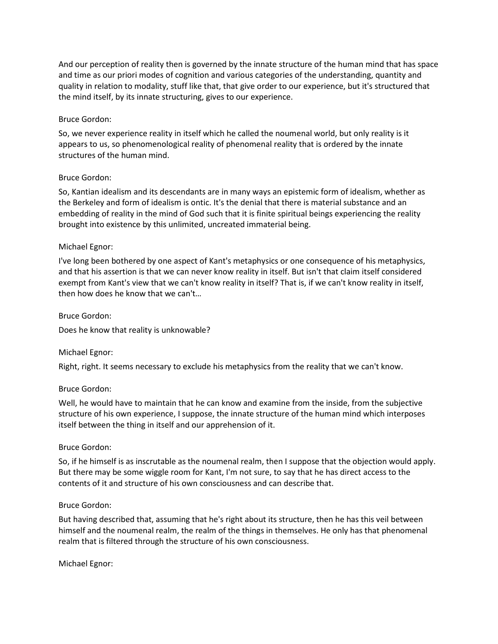And our perception of reality then is governed by the innate structure of the human mind that has space and time as our priori modes of cognition and various categories of the understanding, quantity and quality in relation to modality, stuff like that, that give order to our experience, but it's structured that the mind itself, by its innate structuring, gives to our experience.

### Bruce Gordon:

So, we never experience reality in itself which he called the noumenal world, but only reality is it appears to us, so phenomenological reality of phenomenal reality that is ordered by the innate structures of the human mind.

#### Bruce Gordon:

So, Kantian idealism and its descendants are in many ways an epistemic form of idealism, whether as the Berkeley and form of idealism is ontic. It's the denial that there is material substance and an embedding of reality in the mind of God such that it is finite spiritual beings experiencing the reality brought into existence by this unlimited, uncreated immaterial being.

#### Michael Egnor:

I've long been bothered by one aspect of Kant's metaphysics or one consequence of his metaphysics, and that his assertion is that we can never know reality in itself. But isn't that claim itself considered exempt from Kant's view that we can't know reality in itself? That is, if we can't know reality in itself, then how does he know that we can't…

#### Bruce Gordon:

Does he know that reality is unknowable?

### Michael Egnor:

Right, right. It seems necessary to exclude his metaphysics from the reality that we can't know.

### Bruce Gordon:

Well, he would have to maintain that he can know and examine from the inside, from the subjective structure of his own experience, I suppose, the innate structure of the human mind which interposes itself between the thing in itself and our apprehension of it.

### Bruce Gordon:

So, if he himself is as inscrutable as the noumenal realm, then I suppose that the objection would apply. But there may be some wiggle room for Kant, I'm not sure, to say that he has direct access to the contents of it and structure of his own consciousness and can describe that.

### Bruce Gordon:

But having described that, assuming that he's right about its structure, then he has this veil between himself and the noumenal realm, the realm of the things in themselves. He only has that phenomenal realm that is filtered through the structure of his own consciousness.

Michael Egnor: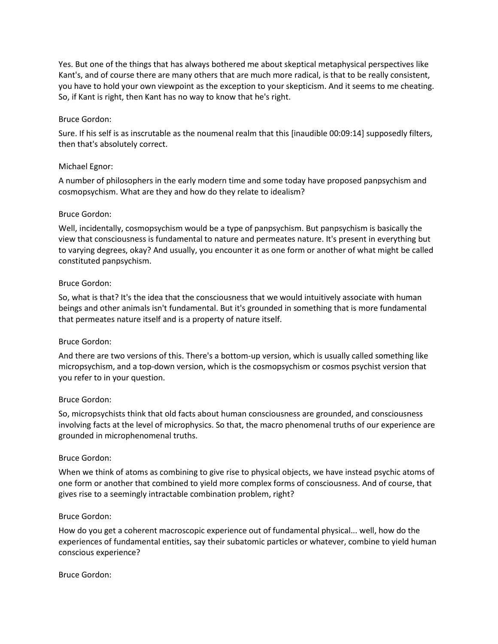Yes. But one of the things that has always bothered me about skeptical metaphysical perspectives like Kant's, and of course there are many others that are much more radical, is that to be really consistent, you have to hold your own viewpoint as the exception to your skepticism. And it seems to me cheating. So, if Kant is right, then Kant has no way to know that he's right.

### Bruce Gordon:

Sure. If his self is as inscrutable as the noumenal realm that this [inaudible 00:09:14] supposedly filters, then that's absolutely correct.

#### Michael Egnor:

A number of philosophers in the early modern time and some today have proposed panpsychism and cosmopsychism. What are they and how do they relate to idealism?

#### Bruce Gordon:

Well, incidentally, cosmopsychism would be a type of panpsychism. But panpsychism is basically the view that consciousness is fundamental to nature and permeates nature. It's present in everything but to varying degrees, okay? And usually, you encounter it as one form or another of what might be called constituted panpsychism.

#### Bruce Gordon:

So, what is that? It's the idea that the consciousness that we would intuitively associate with human beings and other animals isn't fundamental. But it's grounded in something that is more fundamental that permeates nature itself and is a property of nature itself.

### Bruce Gordon:

And there are two versions of this. There's a bottom-up version, which is usually called something like micropsychism, and a top-down version, which is the cosmopsychism or cosmos psychist version that you refer to in your question.

#### Bruce Gordon:

So, micropsychists think that old facts about human consciousness are grounded, and consciousness involving facts at the level of microphysics. So that, the macro phenomenal truths of our experience are grounded in microphenomenal truths.

#### Bruce Gordon:

When we think of atoms as combining to give rise to physical objects, we have instead psychic atoms of one form or another that combined to yield more complex forms of consciousness. And of course, that gives rise to a seemingly intractable combination problem, right?

#### Bruce Gordon:

How do you get a coherent macroscopic experience out of fundamental physical... well, how do the experiences of fundamental entities, say their subatomic particles or whatever, combine to yield human conscious experience?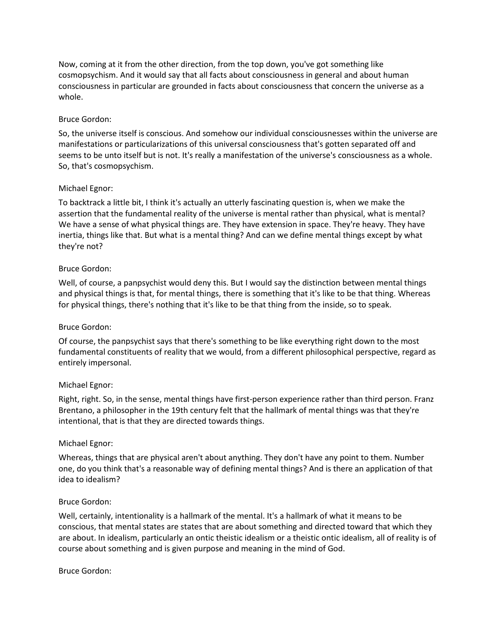Now, coming at it from the other direction, from the top down, you've got something like cosmopsychism. And it would say that all facts about consciousness in general and about human consciousness in particular are grounded in facts about consciousness that concern the universe as a whole.

### Bruce Gordon:

So, the universe itself is conscious. And somehow our individual consciousnesses within the universe are manifestations or particularizations of this universal consciousness that's gotten separated off and seems to be unto itself but is not. It's really a manifestation of the universe's consciousness as a whole. So, that's cosmopsychism.

#### Michael Egnor:

To backtrack a little bit, I think it's actually an utterly fascinating question is, when we make the assertion that the fundamental reality of the universe is mental rather than physical, what is mental? We have a sense of what physical things are. They have extension in space. They're heavy. They have inertia, things like that. But what is a mental thing? And can we define mental things except by what they're not?

#### Bruce Gordon:

Well, of course, a panpsychist would deny this. But I would say the distinction between mental things and physical things is that, for mental things, there is something that it's like to be that thing. Whereas for physical things, there's nothing that it's like to be that thing from the inside, so to speak.

#### Bruce Gordon:

Of course, the panpsychist says that there's something to be like everything right down to the most fundamental constituents of reality that we would, from a different philosophical perspective, regard as entirely impersonal.

#### Michael Egnor:

Right, right. So, in the sense, mental things have first-person experience rather than third person. Franz Brentano, a philosopher in the 19th century felt that the hallmark of mental things was that they're intentional, that is that they are directed towards things.

#### Michael Egnor:

Whereas, things that are physical aren't about anything. They don't have any point to them. Number one, do you think that's a reasonable way of defining mental things? And is there an application of that idea to idealism?

#### Bruce Gordon:

Well, certainly, intentionality is a hallmark of the mental. It's a hallmark of what it means to be conscious, that mental states are states that are about something and directed toward that which they are about. In idealism, particularly an ontic theistic idealism or a theistic ontic idealism, all of reality is of course about something and is given purpose and meaning in the mind of God.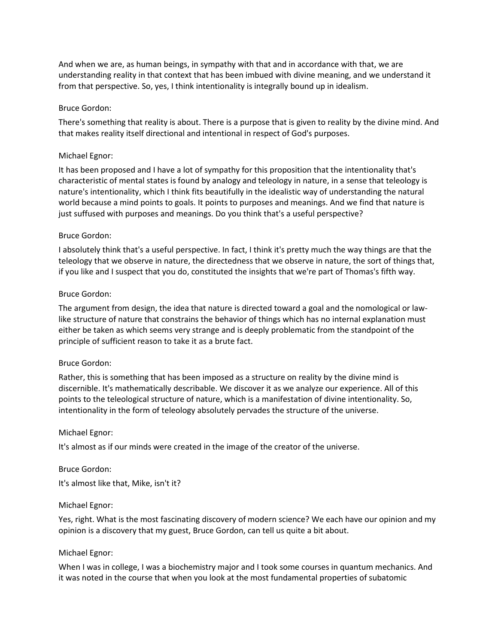And when we are, as human beings, in sympathy with that and in accordance with that, we are understanding reality in that context that has been imbued with divine meaning, and we understand it from that perspective. So, yes, I think intentionality is integrally bound up in idealism.

#### Bruce Gordon:

There's something that reality is about. There is a purpose that is given to reality by the divine mind. And that makes reality itself directional and intentional in respect of God's purposes.

#### Michael Egnor:

It has been proposed and I have a lot of sympathy for this proposition that the intentionality that's characteristic of mental states is found by analogy and teleology in nature, in a sense that teleology is nature's intentionality, which I think fits beautifully in the idealistic way of understanding the natural world because a mind points to goals. It points to purposes and meanings. And we find that nature is just suffused with purposes and meanings. Do you think that's a useful perspective?

#### Bruce Gordon:

I absolutely think that's a useful perspective. In fact, I think it's pretty much the way things are that the teleology that we observe in nature, the directedness that we observe in nature, the sort of things that, if you like and I suspect that you do, constituted the insights that we're part of Thomas's fifth way.

#### Bruce Gordon:

The argument from design, the idea that nature is directed toward a goal and the nomological or lawlike structure of nature that constrains the behavior of things which has no internal explanation must either be taken as which seems very strange and is deeply problematic from the standpoint of the principle of sufficient reason to take it as a brute fact.

#### Bruce Gordon:

Rather, this is something that has been imposed as a structure on reality by the divine mind is discernible. It's mathematically describable. We discover it as we analyze our experience. All of this points to the teleological structure of nature, which is a manifestation of divine intentionality. So, intentionality in the form of teleology absolutely pervades the structure of the universe.

#### Michael Egnor:

It's almost as if our minds were created in the image of the creator of the universe.

## Bruce Gordon: It's almost like that, Mike, isn't it?

#### Michael Egnor:

Yes, right. What is the most fascinating discovery of modern science? We each have our opinion and my opinion is a discovery that my guest, Bruce Gordon, can tell us quite a bit about.

#### Michael Egnor:

When I was in college, I was a biochemistry major and I took some courses in quantum mechanics. And it was noted in the course that when you look at the most fundamental properties of subatomic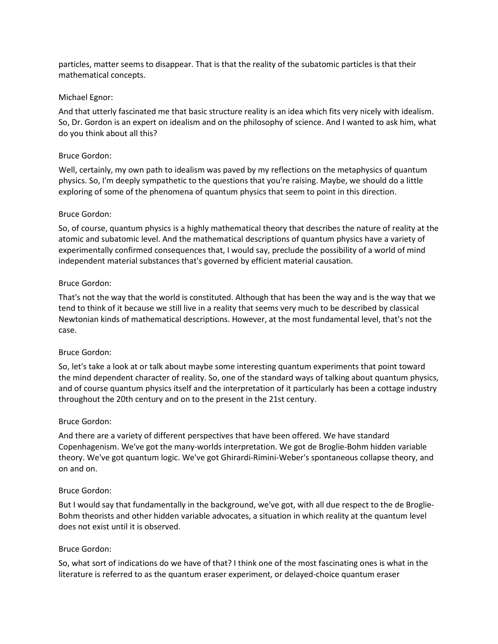particles, matter seems to disappear. That is that the reality of the subatomic particles is that their mathematical concepts.

#### Michael Egnor:

And that utterly fascinated me that basic structure reality is an idea which fits very nicely with idealism. So, Dr. Gordon is an expert on idealism and on the philosophy of science. And I wanted to ask him, what do you think about all this?

#### Bruce Gordon:

Well, certainly, my own path to idealism was paved by my reflections on the metaphysics of quantum physics. So, I'm deeply sympathetic to the questions that you're raising. Maybe, we should do a little exploring of some of the phenomena of quantum physics that seem to point in this direction.

#### Bruce Gordon:

So, of course, quantum physics is a highly mathematical theory that describes the nature of reality at the atomic and subatomic level. And the mathematical descriptions of quantum physics have a variety of experimentally confirmed consequences that, I would say, preclude the possibility of a world of mind independent material substances that's governed by efficient material causation.

#### Bruce Gordon:

That's not the way that the world is constituted. Although that has been the way and is the way that we tend to think of it because we still live in a reality that seems very much to be described by classical Newtonian kinds of mathematical descriptions. However, at the most fundamental level, that's not the case.

### Bruce Gordon:

So, let's take a look at or talk about maybe some interesting quantum experiments that point toward the mind dependent character of reality. So, one of the standard ways of talking about quantum physics, and of course quantum physics itself and the interpretation of it particularly has been a cottage industry throughout the 20th century and on to the present in the 21st century.

#### Bruce Gordon:

And there are a variety of different perspectives that have been offered. We have standard Copenhagenism. We've got the many-worlds interpretation. We got de Broglie-Bohm hidden variable theory. We've got quantum logic. We've got Ghirardi-Rimini-Weber's spontaneous collapse theory, and on and on.

#### Bruce Gordon:

But I would say that fundamentally in the background, we've got, with all due respect to the de Broglie-Bohm theorists and other hidden variable advocates, a situation in which reality at the quantum level does not exist until it is observed.

### Bruce Gordon:

So, what sort of indications do we have of that? I think one of the most fascinating ones is what in the literature is referred to as the quantum eraser experiment, or delayed-choice quantum eraser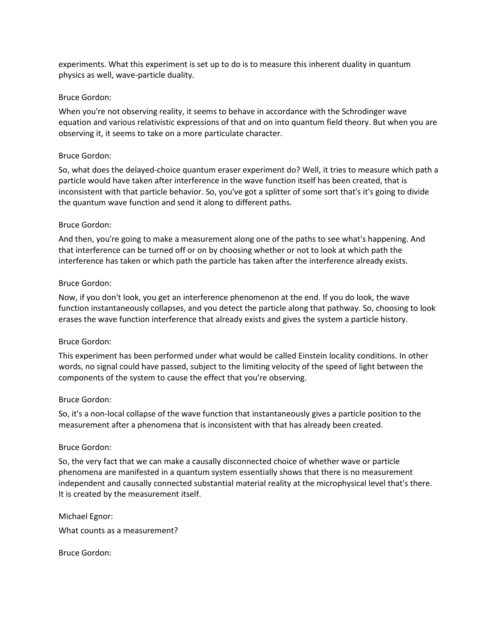experiments. What this experiment is set up to do is to measure this inherent duality in quantum physics as well, wave-particle duality.

#### Bruce Gordon:

When you're not observing reality, it seems to behave in accordance with the Schrodinger wave equation and various relativistic expressions of that and on into quantum field theory. But when you are observing it, it seems to take on a more particulate character.

#### Bruce Gordon:

So, what does the delayed-choice quantum eraser experiment do? Well, it tries to measure which path a particle would have taken after interference in the wave function itself has been created, that is inconsistent with that particle behavior. So, you've got a splitter of some sort that's it's going to divide the quantum wave function and send it along to different paths.

#### Bruce Gordon:

And then, you're going to make a measurement along one of the paths to see what's happening. And that interference can be turned off or on by choosing whether or not to look at which path the interference has taken or which path the particle has taken after the interference already exists.

#### Bruce Gordon:

Now, if you don't look, you get an interference phenomenon at the end. If you do look, the wave function instantaneously collapses, and you detect the particle along that pathway. So, choosing to look erases the wave function interference that already exists and gives the system a particle history.

### Bruce Gordon:

This experiment has been performed under what would be called Einstein locality conditions. In other words, no signal could have passed, subject to the limiting velocity of the speed of light between the components of the system to cause the effect that you're observing.

#### Bruce Gordon:

So, it's a non-local collapse of the wave function that instantaneously gives a particle position to the measurement after a phenomena that is inconsistent with that has already been created.

#### Bruce Gordon:

So, the very fact that we can make a causally disconnected choice of whether wave or particle phenomena are manifested in a quantum system essentially shows that there is no measurement independent and causally connected substantial material reality at the microphysical level that's there. It is created by the measurement itself.

Michael Egnor:

What counts as a measurement?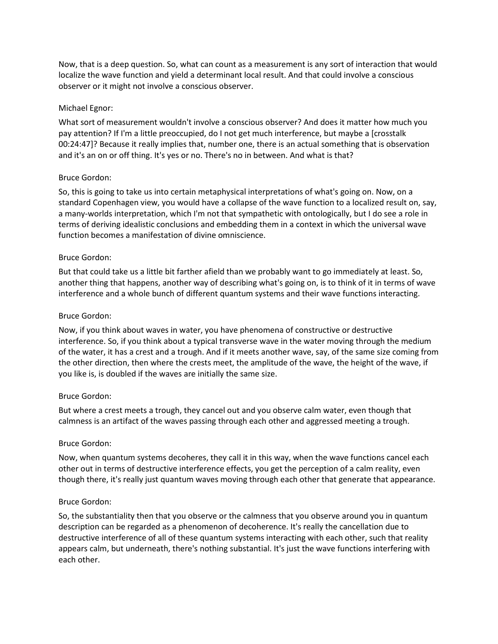Now, that is a deep question. So, what can count as a measurement is any sort of interaction that would localize the wave function and yield a determinant local result. And that could involve a conscious observer or it might not involve a conscious observer.

#### Michael Egnor:

What sort of measurement wouldn't involve a conscious observer? And does it matter how much you pay attention? If I'm a little preoccupied, do I not get much interference, but maybe a [crosstalk 00:24:47]? Because it really implies that, number one, there is an actual something that is observation and it's an on or off thing. It's yes or no. There's no in between. And what is that?

#### Bruce Gordon:

So, this is going to take us into certain metaphysical interpretations of what's going on. Now, on a standard Copenhagen view, you would have a collapse of the wave function to a localized result on, say, a many-worlds interpretation, which I'm not that sympathetic with ontologically, but I do see a role in terms of deriving idealistic conclusions and embedding them in a context in which the universal wave function becomes a manifestation of divine omniscience.

#### Bruce Gordon:

But that could take us a little bit farther afield than we probably want to go immediately at least. So, another thing that happens, another way of describing what's going on, is to think of it in terms of wave interference and a whole bunch of different quantum systems and their wave functions interacting.

#### Bruce Gordon:

Now, if you think about waves in water, you have phenomena of constructive or destructive interference. So, if you think about a typical transverse wave in the water moving through the medium of the water, it has a crest and a trough. And if it meets another wave, say, of the same size coming from the other direction, then where the crests meet, the amplitude of the wave, the height of the wave, if you like is, is doubled if the waves are initially the same size.

### Bruce Gordon:

But where a crest meets a trough, they cancel out and you observe calm water, even though that calmness is an artifact of the waves passing through each other and aggressed meeting a trough.

#### Bruce Gordon:

Now, when quantum systems decoheres, they call it in this way, when the wave functions cancel each other out in terms of destructive interference effects, you get the perception of a calm reality, even though there, it's really just quantum waves moving through each other that generate that appearance.

#### Bruce Gordon:

So, the substantiality then that you observe or the calmness that you observe around you in quantum description can be regarded as a phenomenon of decoherence. It's really the cancellation due to destructive interference of all of these quantum systems interacting with each other, such that reality appears calm, but underneath, there's nothing substantial. It's just the wave functions interfering with each other.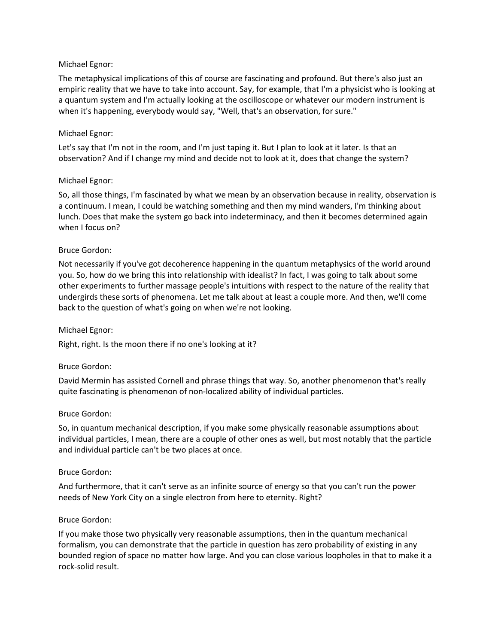### Michael Egnor:

The metaphysical implications of this of course are fascinating and profound. But there's also just an empiric reality that we have to take into account. Say, for example, that I'm a physicist who is looking at a quantum system and I'm actually looking at the oscilloscope or whatever our modern instrument is when it's happening, everybody would say, "Well, that's an observation, for sure."

#### Michael Egnor:

Let's say that I'm not in the room, and I'm just taping it. But I plan to look at it later. Is that an observation? And if I change my mind and decide not to look at it, does that change the system?

#### Michael Egnor:

So, all those things, I'm fascinated by what we mean by an observation because in reality, observation is a continuum. I mean, I could be watching something and then my mind wanders, I'm thinking about lunch. Does that make the system go back into indeterminacy, and then it becomes determined again when I focus on?

#### Bruce Gordon:

Not necessarily if you've got decoherence happening in the quantum metaphysics of the world around you. So, how do we bring this into relationship with idealist? In fact, I was going to talk about some other experiments to further massage people's intuitions with respect to the nature of the reality that undergirds these sorts of phenomena. Let me talk about at least a couple more. And then, we'll come back to the question of what's going on when we're not looking.

#### Michael Egnor:

Right, right. Is the moon there if no one's looking at it?

#### Bruce Gordon:

David Mermin has assisted Cornell and phrase things that way. So, another phenomenon that's really quite fascinating is phenomenon of non-localized ability of individual particles.

#### Bruce Gordon:

So, in quantum mechanical description, if you make some physically reasonable assumptions about individual particles, I mean, there are a couple of other ones as well, but most notably that the particle and individual particle can't be two places at once.

#### Bruce Gordon:

And furthermore, that it can't serve as an infinite source of energy so that you can't run the power needs of New York City on a single electron from here to eternity. Right?

#### Bruce Gordon:

If you make those two physically very reasonable assumptions, then in the quantum mechanical formalism, you can demonstrate that the particle in question has zero probability of existing in any bounded region of space no matter how large. And you can close various loopholes in that to make it a rock-solid result.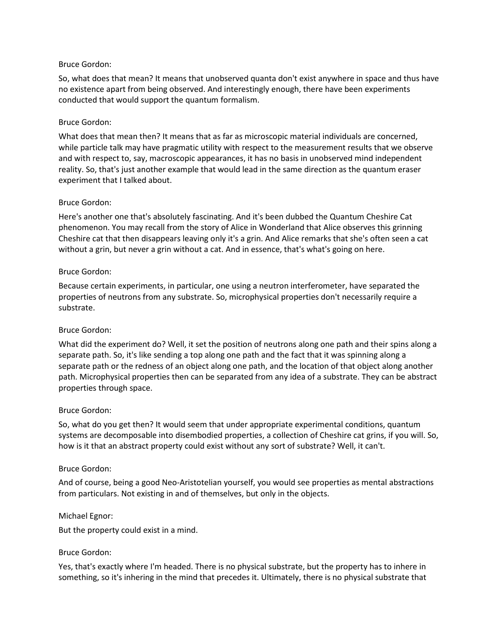So, what does that mean? It means that unobserved quanta don't exist anywhere in space and thus have no existence apart from being observed. And interestingly enough, there have been experiments conducted that would support the quantum formalism.

#### Bruce Gordon:

What does that mean then? It means that as far as microscopic material individuals are concerned, while particle talk may have pragmatic utility with respect to the measurement results that we observe and with respect to, say, macroscopic appearances, it has no basis in unobserved mind independent reality. So, that's just another example that would lead in the same direction as the quantum eraser experiment that I talked about.

#### Bruce Gordon:

Here's another one that's absolutely fascinating. And it's been dubbed the Quantum Cheshire Cat phenomenon. You may recall from the story of Alice in Wonderland that Alice observes this grinning Cheshire cat that then disappears leaving only it's a grin. And Alice remarks that she's often seen a cat without a grin, but never a grin without a cat. And in essence, that's what's going on here.

#### Bruce Gordon:

Because certain experiments, in particular, one using a neutron interferometer, have separated the properties of neutrons from any substrate. So, microphysical properties don't necessarily require a substrate.

### Bruce Gordon:

What did the experiment do? Well, it set the position of neutrons along one path and their spins along a separate path. So, it's like sending a top along one path and the fact that it was spinning along a separate path or the redness of an object along one path, and the location of that object along another path. Microphysical properties then can be separated from any idea of a substrate. They can be abstract properties through space.

#### Bruce Gordon:

So, what do you get then? It would seem that under appropriate experimental conditions, quantum systems are decomposable into disembodied properties, a collection of Cheshire cat grins, if you will. So, how is it that an abstract property could exist without any sort of substrate? Well, it can't.

#### Bruce Gordon:

And of course, being a good Neo-Aristotelian yourself, you would see properties as mental abstractions from particulars. Not existing in and of themselves, but only in the objects.

#### Michael Egnor:

But the property could exist in a mind.

#### Bruce Gordon:

Yes, that's exactly where I'm headed. There is no physical substrate, but the property has to inhere in something, so it's inhering in the mind that precedes it. Ultimately, there is no physical substrate that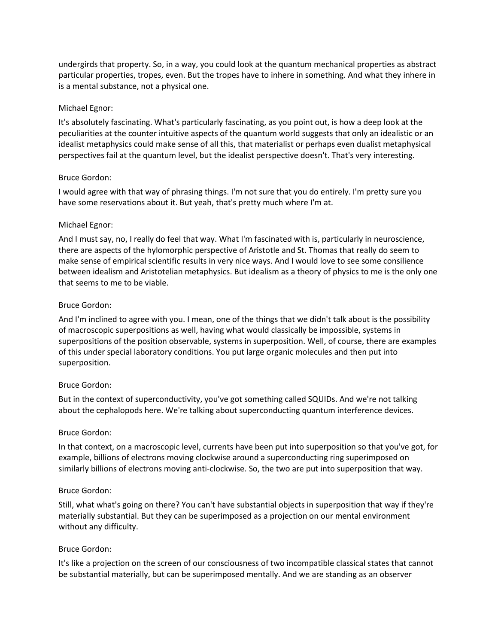undergirds that property. So, in a way, you could look at the quantum mechanical properties as abstract particular properties, tropes, even. But the tropes have to inhere in something. And what they inhere in is a mental substance, not a physical one.

#### Michael Egnor:

It's absolutely fascinating. What's particularly fascinating, as you point out, is how a deep look at the peculiarities at the counter intuitive aspects of the quantum world suggests that only an idealistic or an idealist metaphysics could make sense of all this, that materialist or perhaps even dualist metaphysical perspectives fail at the quantum level, but the idealist perspective doesn't. That's very interesting.

#### Bruce Gordon:

I would agree with that way of phrasing things. I'm not sure that you do entirely. I'm pretty sure you have some reservations about it. But yeah, that's pretty much where I'm at.

#### Michael Egnor:

And I must say, no, I really do feel that way. What I'm fascinated with is, particularly in neuroscience, there are aspects of the hylomorphic perspective of Aristotle and St. Thomas that really do seem to make sense of empirical scientific results in very nice ways. And I would love to see some consilience between idealism and Aristotelian metaphysics. But idealism as a theory of physics to me is the only one that seems to me to be viable.

#### Bruce Gordon:

And I'm inclined to agree with you. I mean, one of the things that we didn't talk about is the possibility of macroscopic superpositions as well, having what would classically be impossible, systems in superpositions of the position observable, systems in superposition. Well, of course, there are examples of this under special laboratory conditions. You put large organic molecules and then put into superposition.

### Bruce Gordon:

But in the context of superconductivity, you've got something called SQUIDs. And we're not talking about the cephalopods here. We're talking about superconducting quantum interference devices.

#### Bruce Gordon:

In that context, on a macroscopic level, currents have been put into superposition so that you've got, for example, billions of electrons moving clockwise around a superconducting ring superimposed on similarly billions of electrons moving anti-clockwise. So, the two are put into superposition that way.

#### Bruce Gordon:

Still, what what's going on there? You can't have substantial objects in superposition that way if they're materially substantial. But they can be superimposed as a projection on our mental environment without any difficulty.

### Bruce Gordon:

It's like a projection on the screen of our consciousness of two incompatible classical states that cannot be substantial materially, but can be superimposed mentally. And we are standing as an observer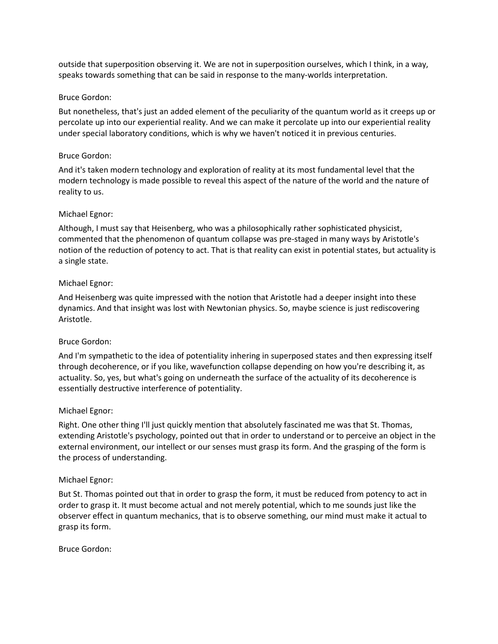outside that superposition observing it. We are not in superposition ourselves, which I think, in a way, speaks towards something that can be said in response to the many-worlds interpretation.

#### Bruce Gordon:

But nonetheless, that's just an added element of the peculiarity of the quantum world as it creeps up or percolate up into our experiential reality. And we can make it percolate up into our experiential reality under special laboratory conditions, which is why we haven't noticed it in previous centuries.

#### Bruce Gordon:

And it's taken modern technology and exploration of reality at its most fundamental level that the modern technology is made possible to reveal this aspect of the nature of the world and the nature of reality to us.

#### Michael Egnor:

Although, I must say that Heisenberg, who was a philosophically rather sophisticated physicist, commented that the phenomenon of quantum collapse was pre-staged in many ways by Aristotle's notion of the reduction of potency to act. That is that reality can exist in potential states, but actuality is a single state.

#### Michael Egnor:

And Heisenberg was quite impressed with the notion that Aristotle had a deeper insight into these dynamics. And that insight was lost with Newtonian physics. So, maybe science is just rediscovering Aristotle.

### Bruce Gordon:

And I'm sympathetic to the idea of potentiality inhering in superposed states and then expressing itself through decoherence, or if you like, wavefunction collapse depending on how you're describing it, as actuality. So, yes, but what's going on underneath the surface of the actuality of its decoherence is essentially destructive interference of potentiality.

### Michael Egnor:

Right. One other thing I'll just quickly mention that absolutely fascinated me was that St. Thomas, extending Aristotle's psychology, pointed out that in order to understand or to perceive an object in the external environment, our intellect or our senses must grasp its form. And the grasping of the form is the process of understanding.

#### Michael Egnor:

But St. Thomas pointed out that in order to grasp the form, it must be reduced from potency to act in order to grasp it. It must become actual and not merely potential, which to me sounds just like the observer effect in quantum mechanics, that is to observe something, our mind must make it actual to grasp its form.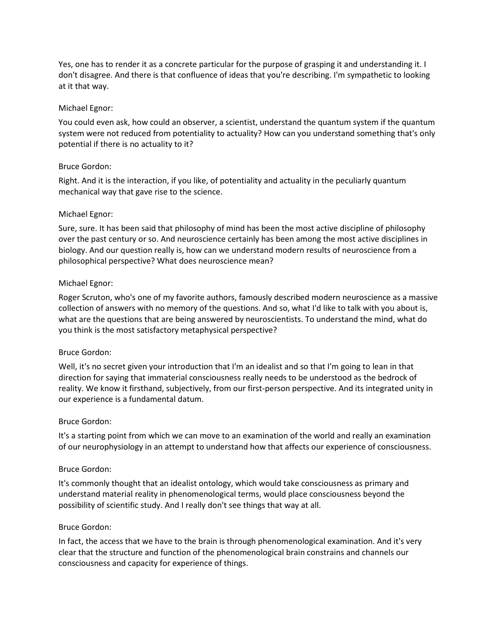Yes, one has to render it as a concrete particular for the purpose of grasping it and understanding it. I don't disagree. And there is that confluence of ideas that you're describing. I'm sympathetic to looking at it that way.

### Michael Egnor:

You could even ask, how could an observer, a scientist, understand the quantum system if the quantum system were not reduced from potentiality to actuality? How can you understand something that's only potential if there is no actuality to it?

#### Bruce Gordon:

Right. And it is the interaction, if you like, of potentiality and actuality in the peculiarly quantum mechanical way that gave rise to the science.

#### Michael Egnor:

Sure, sure. It has been said that philosophy of mind has been the most active discipline of philosophy over the past century or so. And neuroscience certainly has been among the most active disciplines in biology. And our question really is, how can we understand modern results of neuroscience from a philosophical perspective? What does neuroscience mean?

#### Michael Egnor:

Roger Scruton, who's one of my favorite authors, famously described modern neuroscience as a massive collection of answers with no memory of the questions. And so, what I'd like to talk with you about is, what are the questions that are being answered by neuroscientists. To understand the mind, what do you think is the most satisfactory metaphysical perspective?

#### Bruce Gordon:

Well, it's no secret given your introduction that I'm an idealist and so that I'm going to lean in that direction for saying that immaterial consciousness really needs to be understood as the bedrock of reality. We know it firsthand, subjectively, from our first-person perspective. And its integrated unity in our experience is a fundamental datum.

#### Bruce Gordon:

It's a starting point from which we can move to an examination of the world and really an examination of our neurophysiology in an attempt to understand how that affects our experience of consciousness.

#### Bruce Gordon:

It's commonly thought that an idealist ontology, which would take consciousness as primary and understand material reality in phenomenological terms, would place consciousness beyond the possibility of scientific study. And I really don't see things that way at all.

#### Bruce Gordon:

In fact, the access that we have to the brain is through phenomenological examination. And it's very clear that the structure and function of the phenomenological brain constrains and channels our consciousness and capacity for experience of things.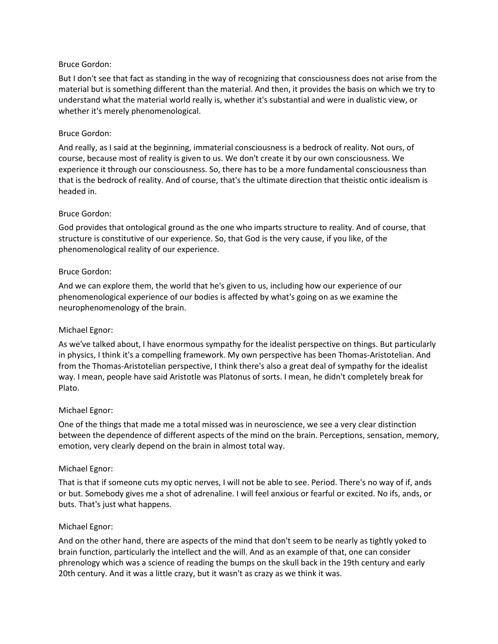But I don't see that fact as standing in the way of recognizing that consciousness does not arise from the material but is something different than the material. And then, it provides the basis on which we try to understand what the material world really is, whether it's substantial and were in dualistic view, or whether it's merely phenomenological.

#### Bruce Gordon:

And really, as I said at the beginning, immaterial consciousness is a bedrock of reality. Not ours, of course, because most of reality is given to us. We don't create it by our own consciousness. We experience it through our consciousness. So, there has to be a more fundamental consciousness than that is the bedrock of reality. And of course, that's the ultimate direction that theistic ontic idealism is headed in.

#### Bruce Gordon:

God provides that ontological ground as the one who imparts structure to reality. And of course, that structure is constitutive of our experience. So, that God is the very cause, if you like, of the phenomenological reality of our experience.

#### Bruce Gordon:

And we can explore them, the world that he's given to us, including how our experience of our phenomenological experience of our bodies is affected by what's going on as we examine the neurophenomenology of the brain.

### Michael Egnor:

As we've talked about, I have enormous sympathy for the idealist perspective on things. But particularly in physics, I think it's a compelling framework. My own perspective has been Thomas-Aristotelian. And from the Thomas-Aristotelian perspective, I think there's also a great deal of sympathy for the idealist way. I mean, people have said Aristotle was Platonus of sorts. I mean, he didn't completely break for Plato.

### Michael Egnor:

One of the things that made me a total missed was in neuroscience, we see a very clear distinction between the dependence of different aspects of the mind on the brain. Perceptions, sensation, memory, emotion, very clearly depend on the brain in almost total way.

#### Michael Egnor:

That is that if someone cuts my optic nerves, I will not be able to see. Period. There's no way of if, ands or but. Somebody gives me a shot of adrenaline. I will feel anxious or fearful or excited. No ifs, ands, or buts. That's just what happens.

#### Michael Egnor:

And on the other hand, there are aspects of the mind that don't seem to be nearly as tightly yoked to brain function, particularly the intellect and the will. And as an example of that, one can consider phrenology which was a science of reading the bumps on the skull back in the 19th century and early 20th century. And it was a little crazy, but it wasn't as crazy as we think it was.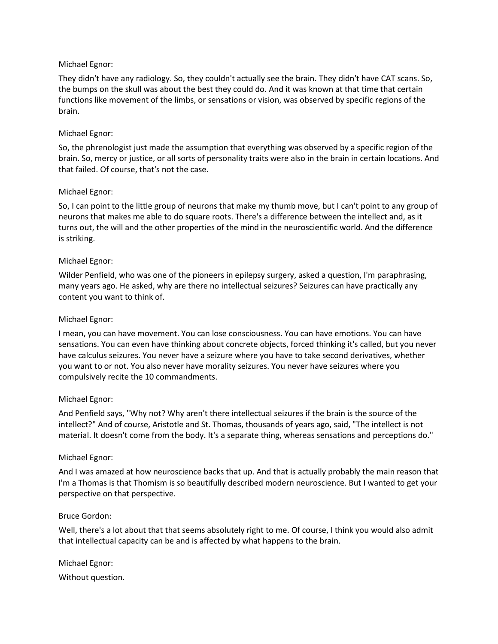### Michael Egnor:

They didn't have any radiology. So, they couldn't actually see the brain. They didn't have CAT scans. So, the bumps on the skull was about the best they could do. And it was known at that time that certain functions like movement of the limbs, or sensations or vision, was observed by specific regions of the brain.

#### Michael Egnor:

So, the phrenologist just made the assumption that everything was observed by a specific region of the brain. So, mercy or justice, or all sorts of personality traits were also in the brain in certain locations. And that failed. Of course, that's not the case.

#### Michael Egnor:

So, I can point to the little group of neurons that make my thumb move, but I can't point to any group of neurons that makes me able to do square roots. There's a difference between the intellect and, as it turns out, the will and the other properties of the mind in the neuroscientific world. And the difference is striking.

#### Michael Egnor:

Wilder Penfield, who was one of the pioneers in epilepsy surgery, asked a question, I'm paraphrasing, many years ago. He asked, why are there no intellectual seizures? Seizures can have practically any content you want to think of.

#### Michael Egnor:

I mean, you can have movement. You can lose consciousness. You can have emotions. You can have sensations. You can even have thinking about concrete objects, forced thinking it's called, but you never have calculus seizures. You never have a seizure where you have to take second derivatives, whether you want to or not. You also never have morality seizures. You never have seizures where you compulsively recite the 10 commandments.

#### Michael Egnor:

And Penfield says, "Why not? Why aren't there intellectual seizures if the brain is the source of the intellect?" And of course, Aristotle and St. Thomas, thousands of years ago, said, "The intellect is not material. It doesn't come from the body. It's a separate thing, whereas sensations and perceptions do."

#### Michael Egnor:

And I was amazed at how neuroscience backs that up. And that is actually probably the main reason that I'm a Thomas is that Thomism is so beautifully described modern neuroscience. But I wanted to get your perspective on that perspective.

#### Bruce Gordon:

Well, there's a lot about that that seems absolutely right to me. Of course, I think you would also admit that intellectual capacity can be and is affected by what happens to the brain.

Michael Egnor:

Without question.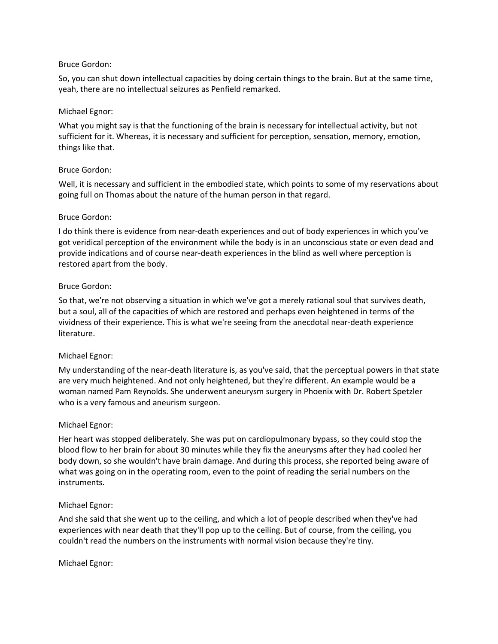So, you can shut down intellectual capacities by doing certain things to the brain. But at the same time, yeah, there are no intellectual seizures as Penfield remarked.

### Michael Egnor:

What you might say is that the functioning of the brain is necessary for intellectual activity, but not sufficient for it. Whereas, it is necessary and sufficient for perception, sensation, memory, emotion, things like that.

### Bruce Gordon:

Well, it is necessary and sufficient in the embodied state, which points to some of my reservations about going full on Thomas about the nature of the human person in that regard.

#### Bruce Gordon:

I do think there is evidence from near-death experiences and out of body experiences in which you've got veridical perception of the environment while the body is in an unconscious state or even dead and provide indications and of course near-death experiences in the blind as well where perception is restored apart from the body.

#### Bruce Gordon:

So that, we're not observing a situation in which we've got a merely rational soul that survives death, but a soul, all of the capacities of which are restored and perhaps even heightened in terms of the vividness of their experience. This is what we're seeing from the anecdotal near-death experience literature.

### Michael Egnor:

My understanding of the near-death literature is, as you've said, that the perceptual powers in that state are very much heightened. And not only heightened, but they're different. An example would be a woman named Pam Reynolds. She underwent aneurysm surgery in Phoenix with Dr. Robert Spetzler who is a very famous and aneurism surgeon.

#### Michael Egnor:

Her heart was stopped deliberately. She was put on cardiopulmonary bypass, so they could stop the blood flow to her brain for about 30 minutes while they fix the aneurysms after they had cooled her body down, so she wouldn't have brain damage. And during this process, she reported being aware of what was going on in the operating room, even to the point of reading the serial numbers on the instruments.

### Michael Egnor:

And she said that she went up to the ceiling, and which a lot of people described when they've had experiences with near death that they'll pop up to the ceiling. But of course, from the ceiling, you couldn't read the numbers on the instruments with normal vision because they're tiny.

#### Michael Egnor: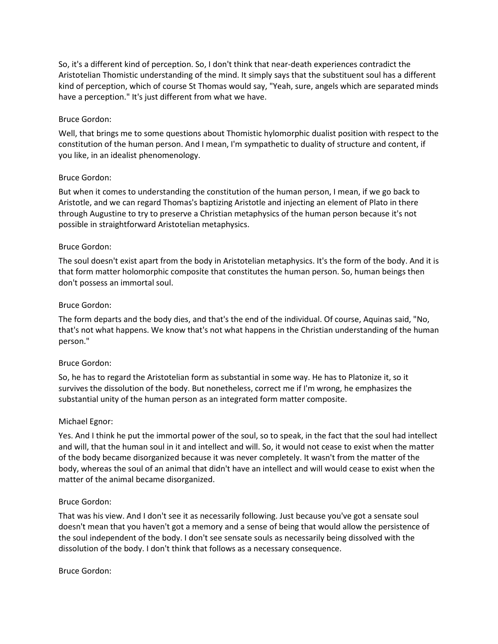So, it's a different kind of perception. So, I don't think that near-death experiences contradict the Aristotelian Thomistic understanding of the mind. It simply says that the substituent soul has a different kind of perception, which of course St Thomas would say, "Yeah, sure, angels which are separated minds have a perception." It's just different from what we have.

#### Bruce Gordon:

Well, that brings me to some questions about Thomistic hylomorphic dualist position with respect to the constitution of the human person. And I mean, I'm sympathetic to duality of structure and content, if you like, in an idealist phenomenology.

#### Bruce Gordon:

But when it comes to understanding the constitution of the human person, I mean, if we go back to Aristotle, and we can regard Thomas's baptizing Aristotle and injecting an element of Plato in there through Augustine to try to preserve a Christian metaphysics of the human person because it's not possible in straightforward Aristotelian metaphysics.

#### Bruce Gordon:

The soul doesn't exist apart from the body in Aristotelian metaphysics. It's the form of the body. And it is that form matter holomorphic composite that constitutes the human person. So, human beings then don't possess an immortal soul.

#### Bruce Gordon:

The form departs and the body dies, and that's the end of the individual. Of course, Aquinas said, "No, that's not what happens. We know that's not what happens in the Christian understanding of the human person."

#### Bruce Gordon:

So, he has to regard the Aristotelian form as substantial in some way. He has to Platonize it, so it survives the dissolution of the body. But nonetheless, correct me if I'm wrong, he emphasizes the substantial unity of the human person as an integrated form matter composite.

#### Michael Egnor:

Yes. And I think he put the immortal power of the soul, so to speak, in the fact that the soul had intellect and will, that the human soul in it and intellect and will. So, it would not cease to exist when the matter of the body became disorganized because it was never completely. It wasn't from the matter of the body, whereas the soul of an animal that didn't have an intellect and will would cease to exist when the matter of the animal became disorganized.

#### Bruce Gordon:

That was his view. And I don't see it as necessarily following. Just because you've got a sensate soul doesn't mean that you haven't got a memory and a sense of being that would allow the persistence of the soul independent of the body. I don't see sensate souls as necessarily being dissolved with the dissolution of the body. I don't think that follows as a necessary consequence.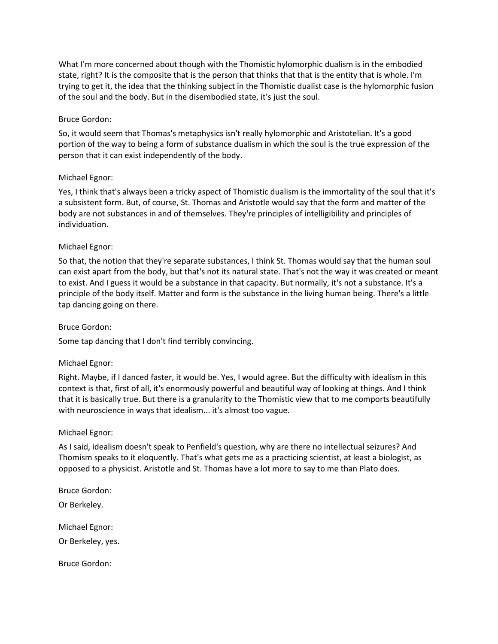What I'm more concerned about though with the Thomistic hylomorphic dualism is in the embodied state, right? It is the composite that is the person that thinks that that is the entity that is whole. I'm trying to get it, the idea that the thinking subject in the Thomistic dualist case is the hylomorphic fusion of the soul and the body. But in the disembodied state, it's just the soul.

### Bruce Gordon:

So, it would seem that Thomas's metaphysics isn't really hylomorphic and Aristotelian. It's a good portion of the way to being a form of substance dualism in which the soul is the true expression of the person that it can exist independently of the body.

### Michael Egnor:

Yes, I think that's always been a tricky aspect of Thomistic dualism is the immortality of the soul that it's a subsistent form. But, of course, St. Thomas and Aristotle would say that the form and matter of the body are not substances in and of themselves. They're principles of intelligibility and principles of individuation.

### Michael Egnor:

So that, the notion that they're separate substances, I think St. Thomas would say that the human soul can exist apart from the body, but that's not its natural state. That's not the way it was created or meant to exist. And I guess it would be a substance in that capacity. But normally, it's not a substance. It's a principle of the body itself. Matter and form is the substance in the living human being. There's a little tap dancing going on there.

### Bruce Gordon:

Some tap dancing that I don't find terribly convincing.

### Michael Egnor:

Right. Maybe, if I danced faster, it would be. Yes, I would agree. But the difficulty with idealism in this context is that, first of all, it's enormously powerful and beautiful way of looking at things. And I think that it is basically true. But there is a granularity to the Thomistic view that to me comports beautifully with neuroscience in ways that idealism... it's almost too vague.

### Michael Egnor:

As I said, idealism doesn't speak to Penfield's question, why are there no intellectual seizures? And Thomism speaks to it eloquently. That's what gets me as a practicing scientist, at least a biologist, as opposed to a physicist. Aristotle and St. Thomas have a lot more to say to me than Plato does.

Bruce Gordon:

Or Berkeley.

Michael Egnor:

Or Berkeley, yes.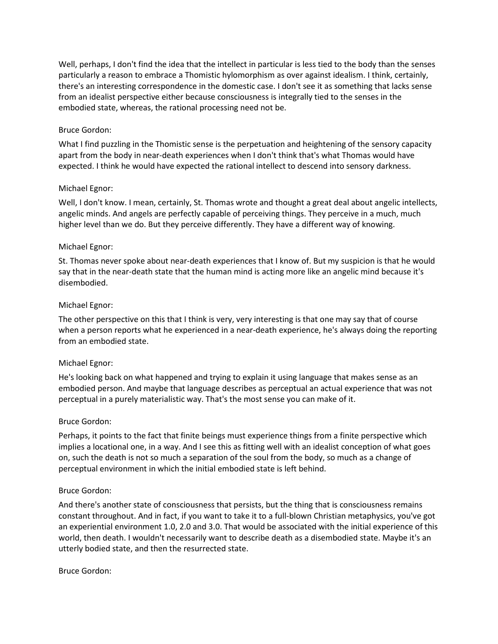Well, perhaps, I don't find the idea that the intellect in particular is less tied to the body than the senses particularly a reason to embrace a Thomistic hylomorphism as over against idealism. I think, certainly, there's an interesting correspondence in the domestic case. I don't see it as something that lacks sense from an idealist perspective either because consciousness is integrally tied to the senses in the embodied state, whereas, the rational processing need not be.

### Bruce Gordon:

What I find puzzling in the Thomistic sense is the perpetuation and heightening of the sensory capacity apart from the body in near-death experiences when I don't think that's what Thomas would have expected. I think he would have expected the rational intellect to descend into sensory darkness.

### Michael Egnor:

Well, I don't know. I mean, certainly, St. Thomas wrote and thought a great deal about angelic intellects, angelic minds. And angels are perfectly capable of perceiving things. They perceive in a much, much higher level than we do. But they perceive differently. They have a different way of knowing.

### Michael Egnor:

St. Thomas never spoke about near-death experiences that I know of. But my suspicion is that he would say that in the near-death state that the human mind is acting more like an angelic mind because it's disembodied.

### Michael Egnor:

The other perspective on this that I think is very, very interesting is that one may say that of course when a person reports what he experienced in a near-death experience, he's always doing the reporting from an embodied state.

### Michael Egnor:

He's looking back on what happened and trying to explain it using language that makes sense as an embodied person. And maybe that language describes as perceptual an actual experience that was not perceptual in a purely materialistic way. That's the most sense you can make of it.

### Bruce Gordon:

Perhaps, it points to the fact that finite beings must experience things from a finite perspective which implies a locational one, in a way. And I see this as fitting well with an idealist conception of what goes on, such the death is not so much a separation of the soul from the body, so much as a change of perceptual environment in which the initial embodied state is left behind.

### Bruce Gordon:

And there's another state of consciousness that persists, but the thing that is consciousness remains constant throughout. And in fact, if you want to take it to a full-blown Christian metaphysics, you've got an experiential environment 1.0, 2.0 and 3.0. That would be associated with the initial experience of this world, then death. I wouldn't necessarily want to describe death as a disembodied state. Maybe it's an utterly bodied state, and then the resurrected state.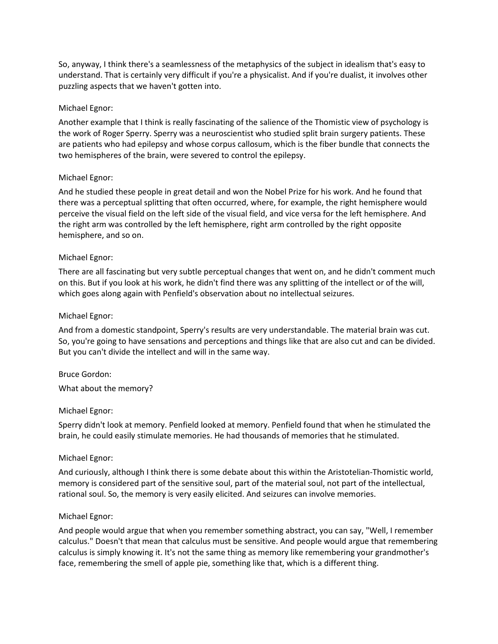So, anyway, I think there's a seamlessness of the metaphysics of the subject in idealism that's easy to understand. That is certainly very difficult if you're a physicalist. And if you're dualist, it involves other puzzling aspects that we haven't gotten into.

### Michael Egnor:

Another example that I think is really fascinating of the salience of the Thomistic view of psychology is the work of Roger Sperry. Sperry was a neuroscientist who studied split brain surgery patients. These are patients who had epilepsy and whose corpus callosum, which is the fiber bundle that connects the two hemispheres of the brain, were severed to control the epilepsy.

#### Michael Egnor:

And he studied these people in great detail and won the Nobel Prize for his work. And he found that there was a perceptual splitting that often occurred, where, for example, the right hemisphere would perceive the visual field on the left side of the visual field, and vice versa for the left hemisphere. And the right arm was controlled by the left hemisphere, right arm controlled by the right opposite hemisphere, and so on.

#### Michael Egnor:

There are all fascinating but very subtle perceptual changes that went on, and he didn't comment much on this. But if you look at his work, he didn't find there was any splitting of the intellect or of the will, which goes along again with Penfield's observation about no intellectual seizures.

#### Michael Egnor:

And from a domestic standpoint, Sperry's results are very understandable. The material brain was cut. So, you're going to have sensations and perceptions and things like that are also cut and can be divided. But you can't divide the intellect and will in the same way.

#### Bruce Gordon:

What about the memory?

#### Michael Egnor:

Sperry didn't look at memory. Penfield looked at memory. Penfield found that when he stimulated the brain, he could easily stimulate memories. He had thousands of memories that he stimulated.

#### Michael Egnor:

And curiously, although I think there is some debate about this within the Aristotelian-Thomistic world, memory is considered part of the sensitive soul, part of the material soul, not part of the intellectual, rational soul. So, the memory is very easily elicited. And seizures can involve memories.

#### Michael Egnor:

And people would argue that when you remember something abstract, you can say, "Well, I remember calculus." Doesn't that mean that calculus must be sensitive. And people would argue that remembering calculus is simply knowing it. It's not the same thing as memory like remembering your grandmother's face, remembering the smell of apple pie, something like that, which is a different thing.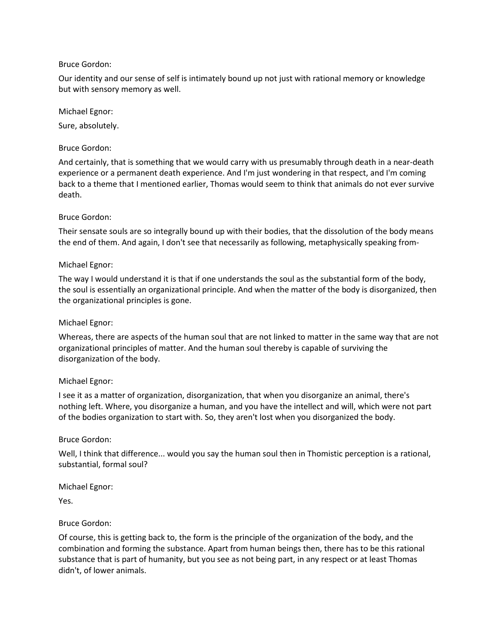Our identity and our sense of self is intimately bound up not just with rational memory or knowledge but with sensory memory as well.

#### Michael Egnor:

Sure, absolutely.

### Bruce Gordon:

And certainly, that is something that we would carry with us presumably through death in a near-death experience or a permanent death experience. And I'm just wondering in that respect, and I'm coming back to a theme that I mentioned earlier, Thomas would seem to think that animals do not ever survive death.

### Bruce Gordon:

Their sensate souls are so integrally bound up with their bodies, that the dissolution of the body means the end of them. And again, I don't see that necessarily as following, metaphysically speaking from-

### Michael Egnor:

The way I would understand it is that if one understands the soul as the substantial form of the body, the soul is essentially an organizational principle. And when the matter of the body is disorganized, then the organizational principles is gone.

### Michael Egnor:

Whereas, there are aspects of the human soul that are not linked to matter in the same way that are not organizational principles of matter. And the human soul thereby is capable of surviving the disorganization of the body.

### Michael Egnor:

I see it as a matter of organization, disorganization, that when you disorganize an animal, there's nothing left. Where, you disorganize a human, and you have the intellect and will, which were not part of the bodies organization to start with. So, they aren't lost when you disorganized the body.

### Bruce Gordon:

Well, I think that difference... would you say the human soul then in Thomistic perception is a rational, substantial, formal soul?

Michael Egnor:

Yes.

### Bruce Gordon:

Of course, this is getting back to, the form is the principle of the organization of the body, and the combination and forming the substance. Apart from human beings then, there has to be this rational substance that is part of humanity, but you see as not being part, in any respect or at least Thomas didn't, of lower animals.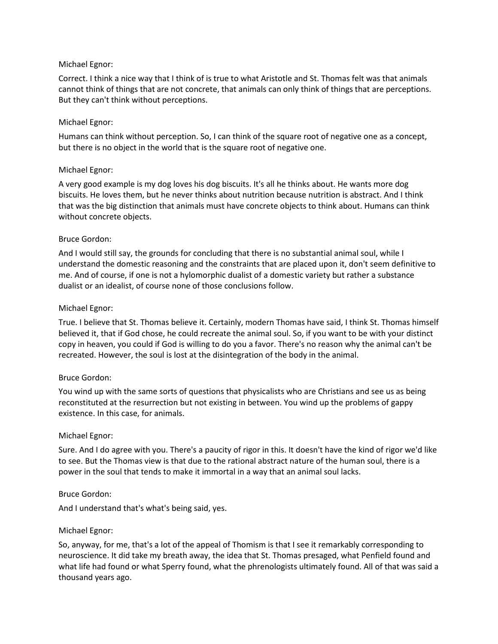### Michael Egnor:

Correct. I think a nice way that I think of is true to what Aristotle and St. Thomas felt was that animals cannot think of things that are not concrete, that animals can only think of things that are perceptions. But they can't think without perceptions.

### Michael Egnor:

Humans can think without perception. So, I can think of the square root of negative one as a concept, but there is no object in the world that is the square root of negative one.

### Michael Egnor:

A very good example is my dog loves his dog biscuits. It's all he thinks about. He wants more dog biscuits. He loves them, but he never thinks about nutrition because nutrition is abstract. And I think that was the big distinction that animals must have concrete objects to think about. Humans can think without concrete objects.

### Bruce Gordon:

And I would still say, the grounds for concluding that there is no substantial animal soul, while I understand the domestic reasoning and the constraints that are placed upon it, don't seem definitive to me. And of course, if one is not a hylomorphic dualist of a domestic variety but rather a substance dualist or an idealist, of course none of those conclusions follow.

### Michael Egnor:

True. I believe that St. Thomas believe it. Certainly, modern Thomas have said, I think St. Thomas himself believed it, that if God chose, he could recreate the animal soul. So, if you want to be with your distinct copy in heaven, you could if God is willing to do you a favor. There's no reason why the animal can't be recreated. However, the soul is lost at the disintegration of the body in the animal.

### Bruce Gordon:

You wind up with the same sorts of questions that physicalists who are Christians and see us as being reconstituted at the resurrection but not existing in between. You wind up the problems of gappy existence. In this case, for animals.

### Michael Egnor:

Sure. And I do agree with you. There's a paucity of rigor in this. It doesn't have the kind of rigor we'd like to see. But the Thomas view is that due to the rational abstract nature of the human soul, there is a power in the soul that tends to make it immortal in a way that an animal soul lacks.

### Bruce Gordon:

And I understand that's what's being said, yes.

### Michael Egnor:

So, anyway, for me, that's a lot of the appeal of Thomism is that I see it remarkably corresponding to neuroscience. It did take my breath away, the idea that St. Thomas presaged, what Penfield found and what life had found or what Sperry found, what the phrenologists ultimately found. All of that was said a thousand years ago.